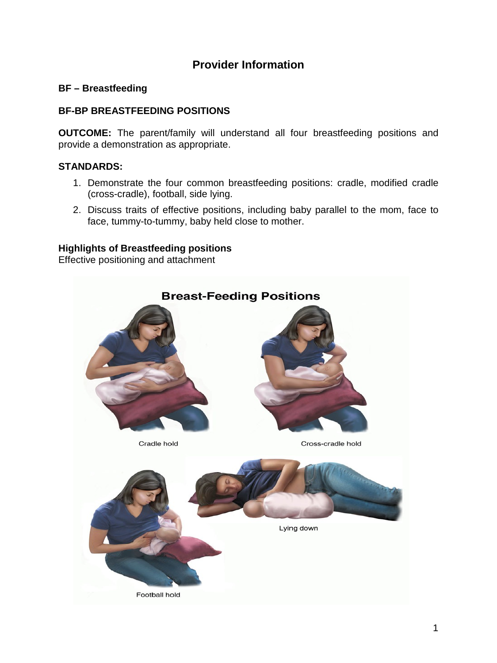# **Provider Information**

## **BF – Breastfeeding**

### **BF-BP BREASTFEEDING POSITIONS**

**OUTCOME:** The parent/family will understand all four breastfeeding positions and provide a demonstration as appropriate.

#### **STANDARDS:**

- 1. Demonstrate the four common breastfeeding positions: cradle, modified cradle (cross-cradle), football, side lying.
- 2. Discuss traits of effective positions, including baby parallel to the mom, face to face, tummy-to-tummy, baby held close to mother.

#### **Highlights of Breastfeeding positions**

Effective positioning and attachment